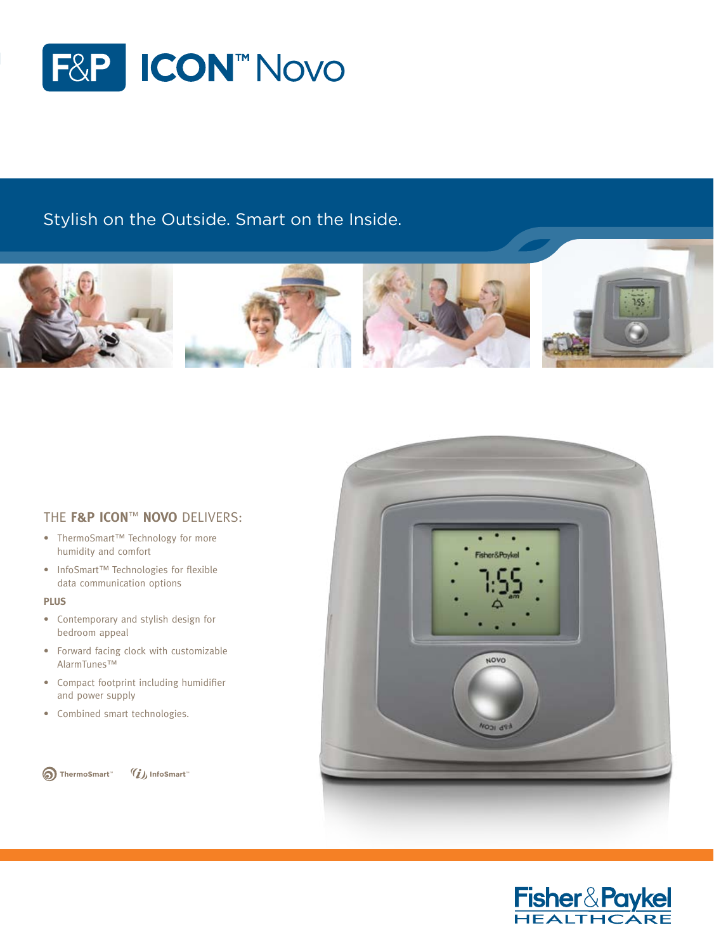

Stylish on the Outside. Smart on the Inside.



# THE **F&P ICON**™ **NOVO** DELIVERS:

- ThermoSmart™ Technology for more humidity and comfort
- InfoSmart™ Technologies for flexible data communication options

#### **Plus**

- Contemporary and stylish design for bedroom appeal
- Forward facing clock with customizable AlarmTunes™
- Compact footprint including humidifier and power supply
- Combined smart technologies.





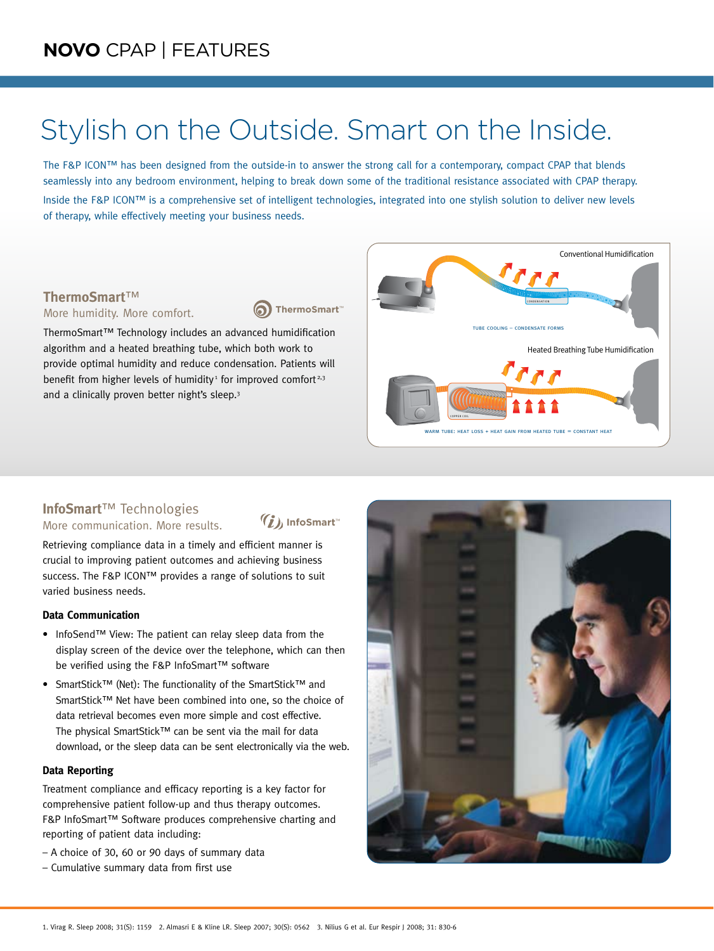# Stylish on the Outside. Smart on the Inside.

The F&P ICON™ has been designed from the outside-in to answer the strong call for a contemporary, compact CPAP that blends seamlessly into any bedroom environment, helping to break down some of the traditional resistance associated with CPAP therapy. Inside the F&P ICON™ is a comprehensive set of intelligent technologies, integrated into one stylish solution to deliver new levels of therapy, while effectively meeting your business needs.

# **ThermoSmart**™

More humidity. More comfort.

ThermoSmart™ Technology includes an advanced humidification algorithm and a heated breathing tube, which both work to provide optimal humidity and reduce condensation. Patients will benefit from higher levels of humidity<sup>1</sup> for improved comfort<sup>2,3</sup> and a clinically proven better night's sleep.<sup>3</sup>



### **InfoSmart**™ Technologies More communication. More results.

**InfoSmart**™

Retrieving compliance data in a timely and efficient manner is crucial to improving patient outcomes and achieving business success. The F&P ICON™ provides a range of solutions to suit varied business needs.

#### **Data Communication**

- InfoSend™ View: The patient can relay sleep data from the display screen of the device over the telephone, which can then be verified using the F&P InfoSmart™ software
- SmartStick™ (Net): The functionality of the SmartStick™ and SmartStick™ Net have been combined into one, so the choice of data retrieval becomes even more simple and cost effective. The physical SmartStick™ can be sent via the mail for data download, or the sleep data can be sent electronically via the web.

#### **Data Reporting**

Treatment compliance and efficacy reporting is a key factor for comprehensive patient follow-up and thus therapy outcomes. F&P InfoSmart™ Software produces comprehensive charting and reporting of patient data including:

- A choice of 30, 60 or 90 days of summary data
- Cumulative summary data from first use

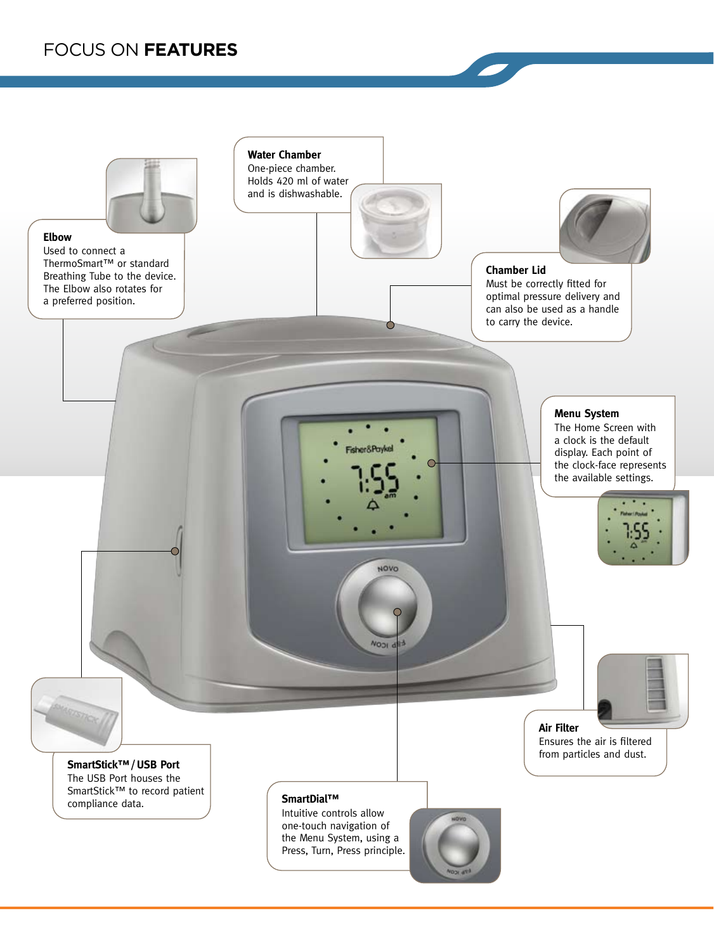